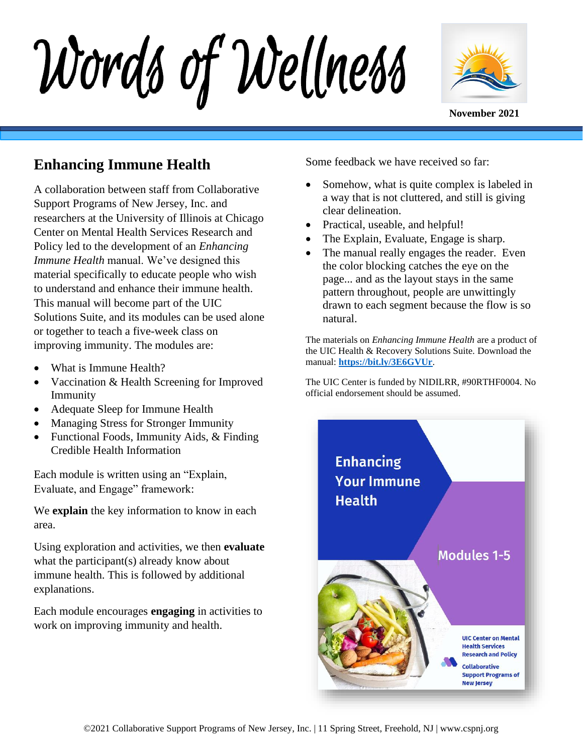Words of Wellness



#### **Enhancing Immune Health**

A collaboration between staff from Collaborative Support Programs of New Jersey, Inc. and researchers at the University of Illinois at Chicago Center on Mental Health Services Research and Policy led to the development of an *Enhancing Immune Health* manual. We've designed this material specifically to educate people who wish to understand and enhance their immune health. This manual will become part of the UIC Solutions Suite, and its modules can be used alone or together to teach a five-week class on improving immunity. The modules are:

- What is Immune Health?
- Vaccination & Health Screening for Improved Immunity
- Adequate Sleep for Immune Health
- Managing Stress for Stronger Immunity
- Functional Foods, Immunity Aids, & Finding Credible Health Information

Each module is written using an "Explain, Evaluate, and Engage" framework:

We **explain** the key information to know in each area.

Using exploration and activities, we then **evaluate** what the participant(s) already know about immune health. This is followed by additional explanations.

Each module encourages **engaging** in activities to work on improving immunity and health.

Some feedbac[k](https://www.center4healthandsdc.org/solutions-suite.html) we have received so far:

- Somehow, what is quite complex is labeled in a way that is not cluttered, and still is giving clear delineation.
- Practical, useable, and helpful!
- The Explain, Evaluate, Engage is sharp.
- The manual really engages the reader. Even the color blocking catches the eye on the page... and as the layout stays in the same pattern throughout, people are unwittingly drawn to each segment because the flow is so natural.

The materials on *Enhancing Immune Health* are a product of the UIC Health & Recovery Solutions Suite. Download the manual: **<https://bit.ly/3E6GVUr>**.

The UIC Center is funded by NIDILRR, #90RTHF0004. No official endorsement should be assumed.

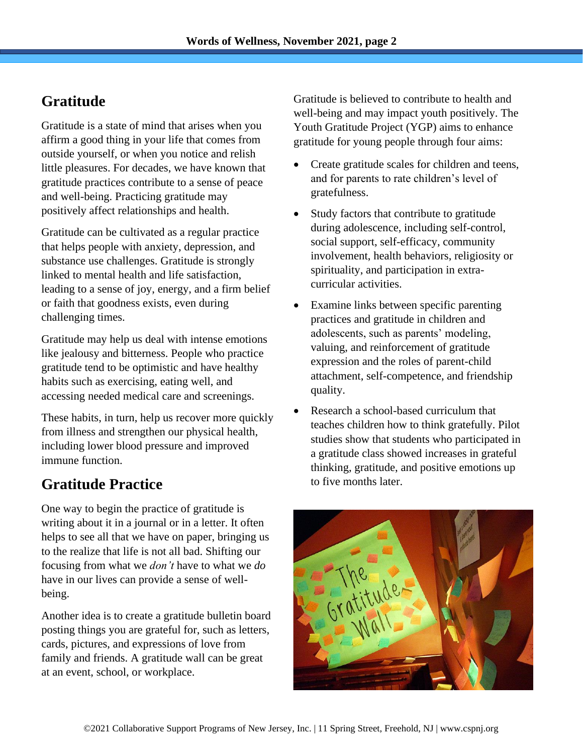# **Gratitude**

Gratitude is a state of mind that arises when you affirm a good thing in your life that comes from outside yourself, or when you notice and relish little pleasures. For decades, we have known that gratitude practices contribute to a sense of peace and well-being. Practicing gratitude may positively affect relationships and health.

Gratitude can be cultivated as a regular practice that helps people with anxiety, depression, and substance use challenges. Gratitude is strongly linked to mental health and life satisfaction, leading to a sense of joy, energy, and a firm belief or faith that goodness exists, even during challenging times.

Gratitude may help us deal with intense emotions like jealousy and bitterness. People who practice gratitude tend to be optimistic and have healthy habits such as exercising, eating well, and accessing needed medical care and screenings.

These habits, in turn, help us recover more quickly from illness and strengthen our physical health, including lower blood pressure and improved immune function.

## **Gratitude Practice**

One way to begin the practice of gratitude is writing about it in a journal or in a letter. It often helps to see all that we have on paper, bringing us to the realize that life is not all bad. Shifting our focusing from what we *don't* have to what we *do* have in our lives can provide a sense of wellbeing.

Another idea is to create a gratitude bulletin board posting things you are grateful for, such as letters, cards, pictures, and expressions of love from family and friends. A gratitude wall can be great at an event, school, or workplace.

Gratitude is believed to contribute to health and well-being and may impact youth positively. The Youth Gratitude Project (YGP) aims to enhance gratitude for young people through four aims:

- Create gratitude scales for children and teens, and for parents to rate children's level of gratefulness.
- Study factors that contribute to gratitude during adolescence, including self-control, social support, self-efficacy, community involvement, health behaviors, religiosity or spirituality, and participation in extracurricular activities.
- Examine links between specific parenting practices and gratitude in children and adolescents, such as parents' modeling, valuing, and reinforcement of gratitude expression and the roles of parent-child attachment, self-competence, and friendship quality.
- Research a school-based curriculum that teaches children how to think gratefully. Pilot studies show that students who participated in a gratitude class showed increases in grateful thinking, gratitude, and positive emotions up to five months later.